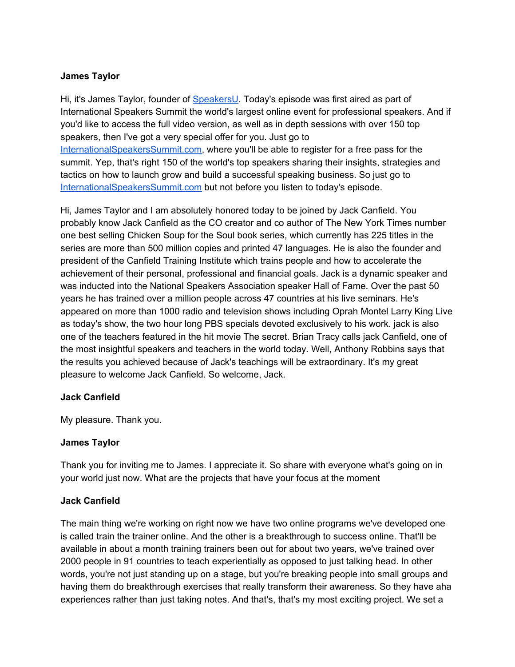### **James Taylor**

Hi, it's James Taylor, founder of [SpeakersU.](https://speakersu.com/) Today's episode was first aired as part of International Speakers Summit the world's largest online event for professional speakers. And if you'd like to access the full video version, as well as in depth sessions with over 150 top speakers, then I've got a very special offer for you. Just go to [InternationalSpeakersSummit.com](http://internationalspeakerssummit.com/), where you'll be able to register for a free pass for the summit. Yep, that's right 150 of the world's top speakers sharing their insights, strategies and tactics on how to launch grow and build a successful speaking business. So just go t[o](http://internationalspeakerssummit.com/) [InternationalSpeakersSummit.com](http://internationalspeakerssummit.com/) but not before you listen to today's episode.

Hi, James Taylor and I am absolutely honored today to be joined by Jack Canfield. You probably know Jack Canfield as the CO creator and co author of The New York Times number one best selling Chicken Soup for the Soul book series, which currently has 225 titles in the series are more than 500 million copies and printed 47 languages. He is also the founder and president of the Canfield Training Institute which trains people and how to accelerate the achievement of their personal, professional and financial goals. Jack is a dynamic speaker and was inducted into the National Speakers Association speaker Hall of Fame. Over the past 50 years he has trained over a million people across 47 countries at his live seminars. He's appeared on more than 1000 radio and television shows including Oprah Montel Larry King Live as today's show, the two hour long PBS specials devoted exclusively to his work. jack is also one of the teachers featured in the hit movie The secret. Brian Tracy calls jack Canfield, one of the most insightful speakers and teachers in the world today. Well, Anthony Robbins says that the results you achieved because of Jack's teachings will be extraordinary. It's my great pleasure to welcome Jack Canfield. So welcome, Jack.

#### **Jack Canfield**

My pleasure. Thank you.

#### **James Taylor**

Thank you for inviting me to James. I appreciate it. So share with everyone what's going on in your world just now. What are the projects that have your focus at the moment

#### **Jack Canfield**

The main thing we're working on right now we have two online programs we've developed one is called train the trainer online. And the other is a breakthrough to success online. That'll be available in about a month training trainers been out for about two years, we've trained over 2000 people in 91 countries to teach experientially as opposed to just talking head. In other words, you're not just standing up on a stage, but you're breaking people into small groups and having them do breakthrough exercises that really transform their awareness. So they have aha experiences rather than just taking notes. And that's, that's my most exciting project. We set a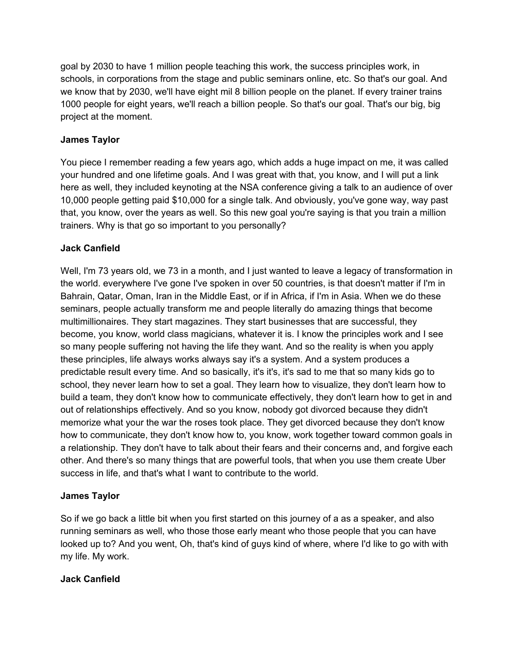goal by 2030 to have 1 million people teaching this work, the success principles work, in schools, in corporations from the stage and public seminars online, etc. So that's our goal. And we know that by 2030, we'll have eight mil 8 billion people on the planet. If every trainer trains 1000 people for eight years, we'll reach a billion people. So that's our goal. That's our big, big project at the moment.

# **James Taylor**

You piece I remember reading a few years ago, which adds a huge impact on me, it was called your hundred and one lifetime goals. And I was great with that, you know, and I will put a link here as well, they included keynoting at the NSA conference giving a talk to an audience of over 10,000 people getting paid \$10,000 for a single talk. And obviously, you've gone way, way past that, you know, over the years as well. So this new goal you're saying is that you train a million trainers. Why is that go so important to you personally?

# **Jack Canfield**

Well, I'm 73 years old, we 73 in a month, and I just wanted to leave a legacy of transformation in the world. everywhere I've gone I've spoken in over 50 countries, is that doesn't matter if I'm in Bahrain, Qatar, Oman, Iran in the Middle East, or if in Africa, if I'm in Asia. When we do these seminars, people actually transform me and people literally do amazing things that become multimillionaires. They start magazines. They start businesses that are successful, they become, you know, world class magicians, whatever it is. I know the principles work and I see so many people suffering not having the life they want. And so the reality is when you apply these principles, life always works always say it's a system. And a system produces a predictable result every time. And so basically, it's it's, it's sad to me that so many kids go to school, they never learn how to set a goal. They learn how to visualize, they don't learn how to build a team, they don't know how to communicate effectively, they don't learn how to get in and out of relationships effectively. And so you know, nobody got divorced because they didn't memorize what your the war the roses took place. They get divorced because they don't know how to communicate, they don't know how to, you know, work together toward common goals in a relationship. They don't have to talk about their fears and their concerns and, and forgive each other. And there's so many things that are powerful tools, that when you use them create Uber success in life, and that's what I want to contribute to the world.

## **James Taylor**

So if we go back a little bit when you first started on this journey of a as a speaker, and also running seminars as well, who those those early meant who those people that you can have looked up to? And you went, Oh, that's kind of guys kind of where, where I'd like to go with with my life. My work.

## **Jack Canfield**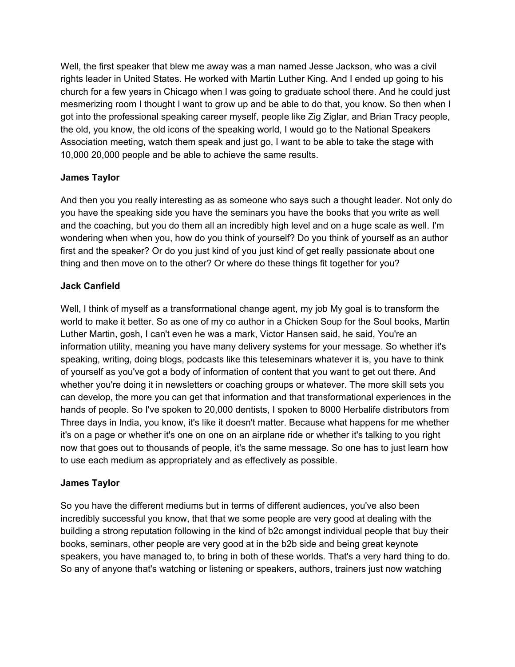Well, the first speaker that blew me away was a man named Jesse Jackson, who was a civil rights leader in United States. He worked with Martin Luther King. And I ended up going to his church for a few years in Chicago when I was going to graduate school there. And he could just mesmerizing room I thought I want to grow up and be able to do that, you know. So then when I got into the professional speaking career myself, people like Zig Ziglar, and Brian Tracy people, the old, you know, the old icons of the speaking world, I would go to the National Speakers Association meeting, watch them speak and just go, I want to be able to take the stage with 10,000 20,000 people and be able to achieve the same results.

## **James Taylor**

And then you you really interesting as as someone who says such a thought leader. Not only do you have the speaking side you have the seminars you have the books that you write as well and the coaching, but you do them all an incredibly high level and on a huge scale as well. I'm wondering when when you, how do you think of yourself? Do you think of yourself as an author first and the speaker? Or do you just kind of you just kind of get really passionate about one thing and then move on to the other? Or where do these things fit together for you?

### **Jack Canfield**

Well, I think of myself as a transformational change agent, my job My goal is to transform the world to make it better. So as one of my co author in a Chicken Soup for the Soul books, Martin Luther Martin, gosh, I can't even he was a mark, Victor Hansen said, he said, You're an information utility, meaning you have many delivery systems for your message. So whether it's speaking, writing, doing blogs, podcasts like this teleseminars whatever it is, you have to think of yourself as you've got a body of information of content that you want to get out there. And whether you're doing it in newsletters or coaching groups or whatever. The more skill sets you can develop, the more you can get that information and that transformational experiences in the hands of people. So I've spoken to 20,000 dentists, I spoken to 8000 Herbalife distributors from Three days in India, you know, it's like it doesn't matter. Because what happens for me whether it's on a page or whether it's one on one on an airplane ride or whether it's talking to you right now that goes out to thousands of people, it's the same message. So one has to just learn how to use each medium as appropriately and as effectively as possible.

#### **James Taylor**

So you have the different mediums but in terms of different audiences, you've also been incredibly successful you know, that that we some people are very good at dealing with the building a strong reputation following in the kind of b2c amongst individual people that buy their books, seminars, other people are very good at in the b2b side and being great keynote speakers, you have managed to, to bring in both of these worlds. That's a very hard thing to do. So any of anyone that's watching or listening or speakers, authors, trainers just now watching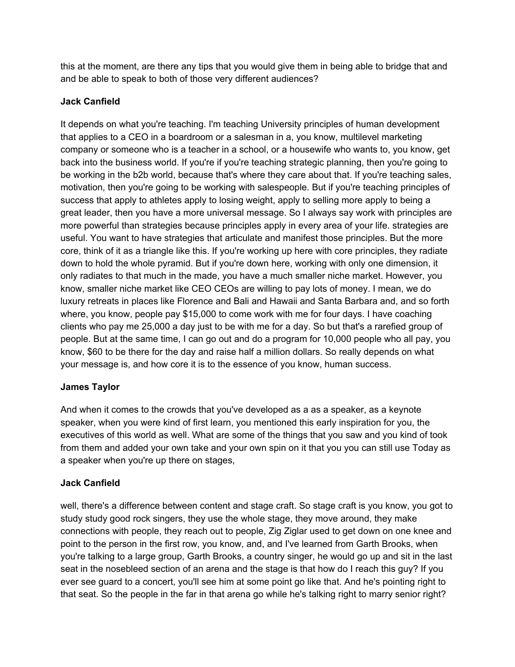this at the moment, are there any tips that you would give them in being able to bridge that and and be able to speak to both of those very different audiences?

### **Jack Canfield**

It depends on what you're teaching. I'm teaching University principles of human development that applies to a CEO in a boardroom or a salesman in a, you know, multilevel marketing company or someone who is a teacher in a school, or a housewife who wants to, you know, get back into the business world. If you're if you're teaching strategic planning, then you're going to be working in the b2b world, because that's where they care about that. If you're teaching sales, motivation, then you're going to be working with salespeople. But if you're teaching principles of success that apply to athletes apply to losing weight, apply to selling more apply to being a great leader, then you have a more universal message. So I always say work with principles are more powerful than strategies because principles apply in every area of your life. strategies are useful. You want to have strategies that articulate and manifest those principles. But the more core, think of it as a triangle like this. If you're working up here with core principles, they radiate down to hold the whole pyramid. But if you're down here, working with only one dimension, it only radiates to that much in the made, you have a much smaller niche market. However, you know, smaller niche market like CEO CEOs are willing to pay lots of money. I mean, we do luxury retreats in places like Florence and Bali and Hawaii and Santa Barbara and, and so forth where, you know, people pay \$15,000 to come work with me for four days. I have coaching clients who pay me 25,000 a day just to be with me for a day. So but that's a rarefied group of people. But at the same time, I can go out and do a program for 10,000 people who all pay, you know, \$60 to be there for the day and raise half a million dollars. So really depends on what your message is, and how core it is to the essence of you know, human success.

## **James Taylor**

And when it comes to the crowds that you've developed as a as a speaker, as a keynote speaker, when you were kind of first learn, you mentioned this early inspiration for you, the executives of this world as well. What are some of the things that you saw and you kind of took from them and added your own take and your own spin on it that you you can still use Today as a speaker when you're up there on stages,

#### **Jack Canfield**

well, there's a difference between content and stage craft. So stage craft is you know, you got to study study good rock singers, they use the whole stage, they move around, they make connections with people, they reach out to people, Zig Ziglar used to get down on one knee and point to the person in the first row, you know, and, and I've learned from Garth Brooks, when you're talking to a large group, Garth Brooks, a country singer, he would go up and sit in the last seat in the nosebleed section of an arena and the stage is that how do I reach this guy? If you ever see guard to a concert, you'll see him at some point go like that. And he's pointing right to that seat. So the people in the far in that arena go while he's talking right to marry senior right?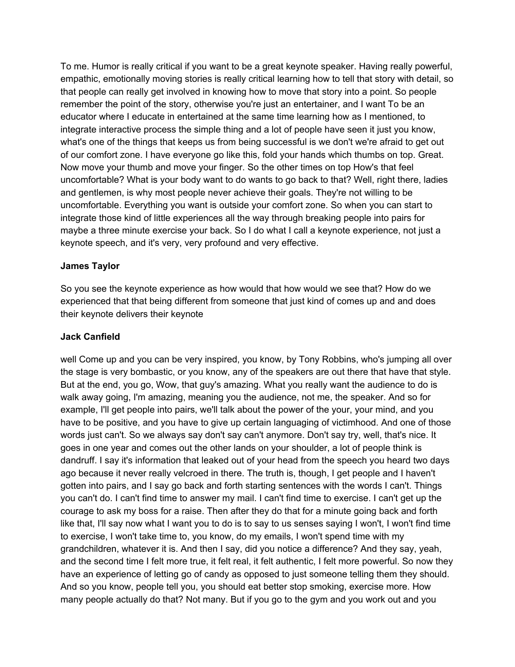To me. Humor is really critical if you want to be a great keynote speaker. Having really powerful, empathic, emotionally moving stories is really critical learning how to tell that story with detail, so that people can really get involved in knowing how to move that story into a point. So people remember the point of the story, otherwise you're just an entertainer, and I want To be an educator where I educate in entertained at the same time learning how as I mentioned, to integrate interactive process the simple thing and a lot of people have seen it just you know, what's one of the things that keeps us from being successful is we don't we're afraid to get out of our comfort zone. I have everyone go like this, fold your hands which thumbs on top. Great. Now move your thumb and move your finger. So the other times on top How's that feel uncomfortable? What is your body want to do wants to go back to that? Well, right there, ladies and gentlemen, is why most people never achieve their goals. They're not willing to be uncomfortable. Everything you want is outside your comfort zone. So when you can start to integrate those kind of little experiences all the way through breaking people into pairs for maybe a three minute exercise your back. So I do what I call a keynote experience, not just a keynote speech, and it's very, very profound and very effective.

### **James Taylor**

So you see the keynote experience as how would that how would we see that? How do we experienced that that being different from someone that just kind of comes up and and does their keynote delivers their keynote

#### **Jack Canfield**

well Come up and you can be very inspired, you know, by Tony Robbins, who's jumping all over the stage is very bombastic, or you know, any of the speakers are out there that have that style. But at the end, you go, Wow, that guy's amazing. What you really want the audience to do is walk away going, I'm amazing, meaning you the audience, not me, the speaker. And so for example, I'll get people into pairs, we'll talk about the power of the your, your mind, and you have to be positive, and you have to give up certain languaging of victimhood. And one of those words just can't. So we always say don't say can't anymore. Don't say try, well, that's nice. It goes in one year and comes out the other lands on your shoulder, a lot of people think is dandruff. I say it's information that leaked out of your head from the speech you heard two days ago because it never really velcroed in there. The truth is, though, I get people and I haven't gotten into pairs, and I say go back and forth starting sentences with the words I can't. Things you can't do. I can't find time to answer my mail. I can't find time to exercise. I can't get up the courage to ask my boss for a raise. Then after they do that for a minute going back and forth like that, I'll say now what I want you to do is to say to us senses saying I won't, I won't find time to exercise, I won't take time to, you know, do my emails, I won't spend time with my grandchildren, whatever it is. And then I say, did you notice a difference? And they say, yeah, and the second time I felt more true, it felt real, it felt authentic, I felt more powerful. So now they have an experience of letting go of candy as opposed to just someone telling them they should. And so you know, people tell you, you should eat better stop smoking, exercise more. How many people actually do that? Not many. But if you go to the gym and you work out and you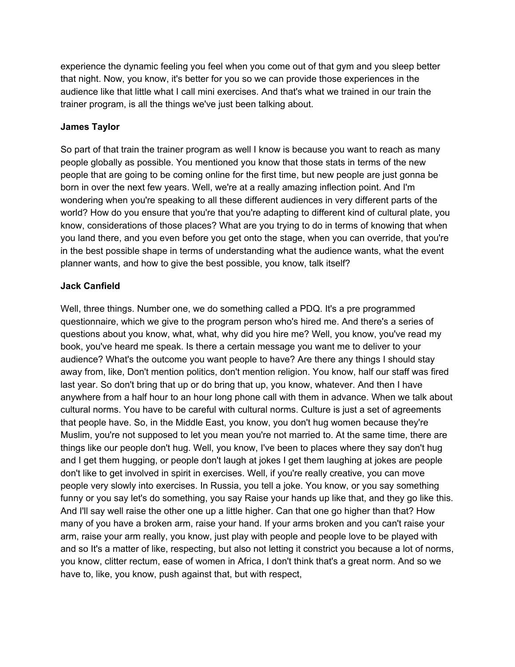experience the dynamic feeling you feel when you come out of that gym and you sleep better that night. Now, you know, it's better for you so we can provide those experiences in the audience like that little what I call mini exercises. And that's what we trained in our train the trainer program, is all the things we've just been talking about.

### **James Taylor**

So part of that train the trainer program as well I know is because you want to reach as many people globally as possible. You mentioned you know that those stats in terms of the new people that are going to be coming online for the first time, but new people are just gonna be born in over the next few years. Well, we're at a really amazing inflection point. And I'm wondering when you're speaking to all these different audiences in very different parts of the world? How do you ensure that you're that you're adapting to different kind of cultural plate, you know, considerations of those places? What are you trying to do in terms of knowing that when you land there, and you even before you get onto the stage, when you can override, that you're in the best possible shape in terms of understanding what the audience wants, what the event planner wants, and how to give the best possible, you know, talk itself?

### **Jack Canfield**

Well, three things. Number one, we do something called a PDQ. It's a pre programmed questionnaire, which we give to the program person who's hired me. And there's a series of questions about you know, what, what, why did you hire me? Well, you know, you've read my book, you've heard me speak. Is there a certain message you want me to deliver to your audience? What's the outcome you want people to have? Are there any things I should stay away from, like, Don't mention politics, don't mention religion. You know, half our staff was fired last year. So don't bring that up or do bring that up, you know, whatever. And then I have anywhere from a half hour to an hour long phone call with them in advance. When we talk about cultural norms. You have to be careful with cultural norms. Culture is just a set of agreements that people have. So, in the Middle East, you know, you don't hug women because they're Muslim, you're not supposed to let you mean you're not married to. At the same time, there are things like our people don't hug. Well, you know, I've been to places where they say don't hug and I get them hugging, or people don't laugh at jokes I get them laughing at jokes are people don't like to get involved in spirit in exercises. Well, if you're really creative, you can move people very slowly into exercises. In Russia, you tell a joke. You know, or you say something funny or you say let's do something, you say Raise your hands up like that, and they go like this. And I'll say well raise the other one up a little higher. Can that one go higher than that? How many of you have a broken arm, raise your hand. If your arms broken and you can't raise your arm, raise your arm really, you know, just play with people and people love to be played with and so It's a matter of like, respecting, but also not letting it constrict you because a lot of norms, you know, clitter rectum, ease of women in Africa, I don't think that's a great norm. And so we have to, like, you know, push against that, but with respect,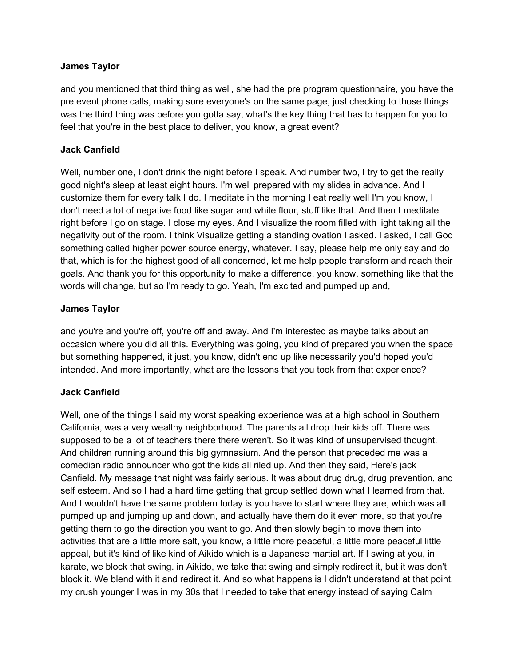### **James Taylor**

and you mentioned that third thing as well, she had the pre program questionnaire, you have the pre event phone calls, making sure everyone's on the same page, just checking to those things was the third thing was before you gotta say, what's the key thing that has to happen for you to feel that you're in the best place to deliver, you know, a great event?

### **Jack Canfield**

Well, number one, I don't drink the night before I speak. And number two, I try to get the really good night's sleep at least eight hours. I'm well prepared with my slides in advance. And I customize them for every talk I do. I meditate in the morning I eat really well I'm you know, I don't need a lot of negative food like sugar and white flour, stuff like that. And then I meditate right before I go on stage. I close my eyes. And I visualize the room filled with light taking all the negativity out of the room. I think Visualize getting a standing ovation I asked. I asked, I call God something called higher power source energy, whatever. I say, please help me only say and do that, which is for the highest good of all concerned, let me help people transform and reach their goals. And thank you for this opportunity to make a difference, you know, something like that the words will change, but so I'm ready to go. Yeah, I'm excited and pumped up and,

### **James Taylor**

and you're and you're off, you're off and away. And I'm interested as maybe talks about an occasion where you did all this. Everything was going, you kind of prepared you when the space but something happened, it just, you know, didn't end up like necessarily you'd hoped you'd intended. And more importantly, what are the lessons that you took from that experience?

## **Jack Canfield**

Well, one of the things I said my worst speaking experience was at a high school in Southern California, was a very wealthy neighborhood. The parents all drop their kids off. There was supposed to be a lot of teachers there there weren't. So it was kind of unsupervised thought. And children running around this big gymnasium. And the person that preceded me was a comedian radio announcer who got the kids all riled up. And then they said, Here's jack Canfield. My message that night was fairly serious. It was about drug drug, drug prevention, and self esteem. And so I had a hard time getting that group settled down what I learned from that. And I wouldn't have the same problem today is you have to start where they are, which was all pumped up and jumping up and down, and actually have them do it even more, so that you're getting them to go the direction you want to go. And then slowly begin to move them into activities that are a little more salt, you know, a little more peaceful, a little more peaceful little appeal, but it's kind of like kind of Aikido which is a Japanese martial art. If I swing at you, in karate, we block that swing. in Aikido, we take that swing and simply redirect it, but it was don't block it. We blend with it and redirect it. And so what happens is I didn't understand at that point, my crush younger I was in my 30s that I needed to take that energy instead of saying Calm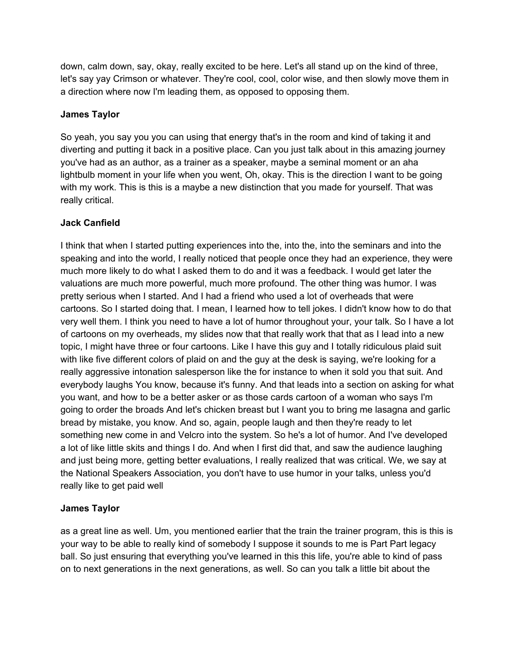down, calm down, say, okay, really excited to be here. Let's all stand up on the kind of three, let's say yay Crimson or whatever. They're cool, cool, color wise, and then slowly move them in a direction where now I'm leading them, as opposed to opposing them.

### **James Taylor**

So yeah, you say you you can using that energy that's in the room and kind of taking it and diverting and putting it back in a positive place. Can you just talk about in this amazing journey you've had as an author, as a trainer as a speaker, maybe a seminal moment or an aha lightbulb moment in your life when you went, Oh, okay. This is the direction I want to be going with my work. This is this is a maybe a new distinction that you made for yourself. That was really critical.

### **Jack Canfield**

I think that when I started putting experiences into the, into the, into the seminars and into the speaking and into the world, I really noticed that people once they had an experience, they were much more likely to do what I asked them to do and it was a feedback. I would get later the valuations are much more powerful, much more profound. The other thing was humor. I was pretty serious when I started. And I had a friend who used a lot of overheads that were cartoons. So I started doing that. I mean, I learned how to tell jokes. I didn't know how to do that very well them. I think you need to have a lot of humor throughout your, your talk. So I have a lot of cartoons on my overheads, my slides now that that really work that that as I lead into a new topic, I might have three or four cartoons. Like I have this guy and I totally ridiculous plaid suit with like five different colors of plaid on and the guy at the desk is saying, we're looking for a really aggressive intonation salesperson like the for instance to when it sold you that suit. And everybody laughs You know, because it's funny. And that leads into a section on asking for what you want, and how to be a better asker or as those cards cartoon of a woman who says I'm going to order the broads And let's chicken breast but I want you to bring me lasagna and garlic bread by mistake, you know. And so, again, people laugh and then they're ready to let something new come in and Velcro into the system. So he's a lot of humor. And I've developed a lot of like little skits and things I do. And when I first did that, and saw the audience laughing and just being more, getting better evaluations, I really realized that was critical. We, we say at the National Speakers Association, you don't have to use humor in your talks, unless you'd really like to get paid well

## **James Taylor**

as a great line as well. Um, you mentioned earlier that the train the trainer program, this is this is your way to be able to really kind of somebody I suppose it sounds to me is Part Part legacy ball. So just ensuring that everything you've learned in this this life, you're able to kind of pass on to next generations in the next generations, as well. So can you talk a little bit about the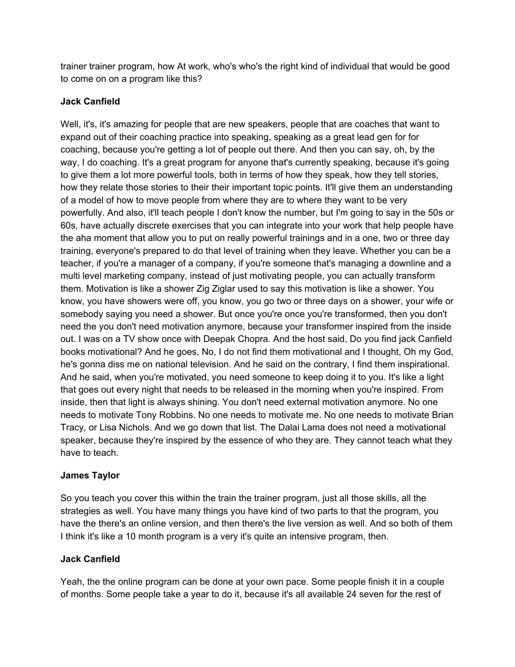trainer trainer program, how At work, who's who's the right kind of individual that would be good to come on on a program like this?

## **Jack Canfield**

Well, it's, it's amazing for people that are new speakers, people that are coaches that want to expand out of their coaching practice into speaking, speaking as a great lead gen for for coaching, because you're getting a lot of people out there. And then you can say, oh, by the way, I do coaching. It's a great program for anyone that's currently speaking, because it's going to give them a lot more powerful tools, both in terms of how they speak, how they tell stories, how they relate those stories to their their important topic points. It'll give them an understanding of a model of how to move people from where they are to where they want to be very powerfully. And also, it'll teach people I don't know the number, but I'm going to say in the 50s or 60s, have actually discrete exercises that you can integrate into your work that help people have the aha moment that allow you to put on really powerful trainings and in a one, two or three day training, everyone's prepared to do that level of training when they leave. Whether you can be a teacher, if you're a manager of a company, if you're someone that's managing a downline and a multi level marketing company, instead of just motivating people, you can actually transform them. Motivation is like a shower Zig Ziglar used to say this motivation is like a shower. You know, you have showers were off, you know, you go two or three days on a shower, your wife or somebody saying you need a shower. But once you're once you're transformed, then you don't need the you don't need motivation anymore, because your transformer inspired from the inside out. I was on a TV show once with Deepak Chopra. And the host said, Do you find jack Canfield books motivational? And he goes, No, I do not find them motivational and I thought, Oh my God, he's gonna diss me on national television. And he said on the contrary, I find them inspirational. And he said, when you're motivated, you need someone to keep doing it to you. It's like a light that goes out every night that needs to be released in the morning when you're inspired. From inside, then that light is always shining. You don't need external motivation anymore. No one needs to motivate Tony Robbins. No one needs to motivate me. No one needs to motivate Brian Tracy, or Lisa Nichols. And we go down that list. The Dalai Lama does not need a motivational speaker, because they're inspired by the essence of who they are. They cannot teach what they have to teach.

## **James Taylor**

So you teach you cover this within the train the trainer program, just all those skills, all the strategies as well. You have many things you have kind of two parts to that the program, you have the there's an online version, and then there's the live version as well. And so both of them I think it's like a 10 month program is a very it's quite an intensive program, then.

## **Jack Canfield**

Yeah, the the online program can be done at your own pace. Some people finish it in a couple of months. Some people take a year to do it, because it's all available 24 seven for the rest of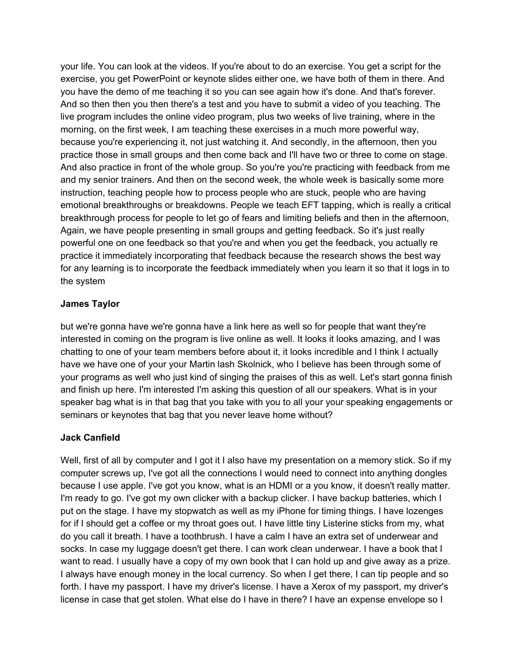your life. You can look at the videos. If you're about to do an exercise. You get a script for the exercise, you get PowerPoint or keynote slides either one, we have both of them in there. And you have the demo of me teaching it so you can see again how it's done. And that's forever. And so then then you then there's a test and you have to submit a video of you teaching. The live program includes the online video program, plus two weeks of live training, where in the morning, on the first week, I am teaching these exercises in a much more powerful way, because you're experiencing it, not just watching it. And secondly, in the afternoon, then you practice those in small groups and then come back and I'll have two or three to come on stage. And also practice in front of the whole group. So you're you're practicing with feedback from me and my senior trainers. And then on the second week, the whole week is basically some more instruction, teaching people how to process people who are stuck, people who are having emotional breakthroughs or breakdowns. People we teach EFT tapping, which is really a critical breakthrough process for people to let go of fears and limiting beliefs and then in the afternoon, Again, we have people presenting in small groups and getting feedback. So it's just really powerful one on one feedback so that you're and when you get the feedback, you actually re practice it immediately incorporating that feedback because the research shows the best way for any learning is to incorporate the feedback immediately when you learn it so that it logs in to the system

### **James Taylor**

but we're gonna have we're gonna have a link here as well so for people that want they're interested in coming on the program is live online as well. It looks it looks amazing, and I was chatting to one of your team members before about it, it looks incredible and I think I actually have we have one of your your Martin lash Skolnick, who I believe has been through some of your programs as well who just kind of singing the praises of this as well. Let's start gonna finish and finish up here. I'm interested I'm asking this question of all our speakers. What is in your speaker bag what is in that bag that you take with you to all your your speaking engagements or seminars or keynotes that bag that you never leave home without?

## **Jack Canfield**

Well, first of all by computer and I got it I also have my presentation on a memory stick. So if my computer screws up, I've got all the connections I would need to connect into anything dongles because I use apple. I've got you know, what is an HDMI or a you know, it doesn't really matter. I'm ready to go. I've got my own clicker with a backup clicker. I have backup batteries, which I put on the stage. I have my stopwatch as well as my iPhone for timing things. I have lozenges for if I should get a coffee or my throat goes out. I have little tiny Listerine sticks from my, what do you call it breath. I have a toothbrush. I have a calm I have an extra set of underwear and socks. In case my luggage doesn't get there. I can work clean underwear. I have a book that I want to read. I usually have a copy of my own book that I can hold up and give away as a prize. I always have enough money in the local currency. So when I get there, I can tip people and so forth. I have my passport. I have my driver's license. I have a Xerox of my passport, my driver's license in case that get stolen. What else do I have in there? I have an expense envelope so I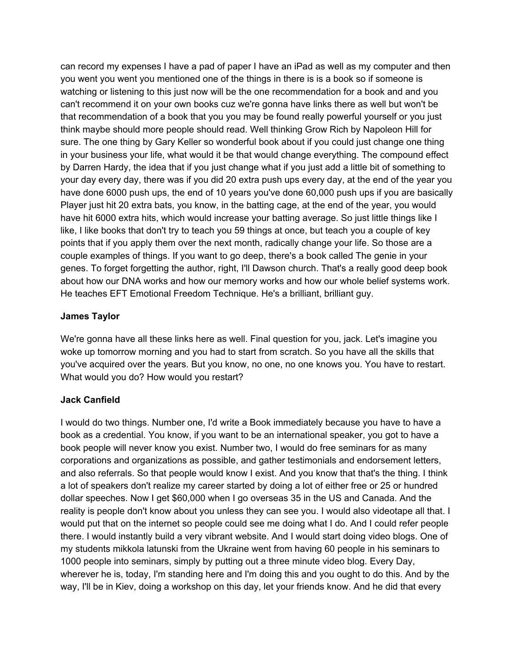can record my expenses I have a pad of paper I have an iPad as well as my computer and then you went you went you mentioned one of the things in there is is a book so if someone is watching or listening to this just now will be the one recommendation for a book and and you can't recommend it on your own books cuz we're gonna have links there as well but won't be that recommendation of a book that you you may be found really powerful yourself or you just think maybe should more people should read. Well thinking Grow Rich by Napoleon Hill for sure. The one thing by Gary Keller so wonderful book about if you could just change one thing in your business your life, what would it be that would change everything. The compound effect by Darren Hardy, the idea that if you just change what if you just add a little bit of something to your day every day, there was if you did 20 extra push ups every day, at the end of the year you have done 6000 push ups, the end of 10 years you've done 60,000 push ups if you are basically Player just hit 20 extra bats, you know, in the batting cage, at the end of the year, you would have hit 6000 extra hits, which would increase your batting average. So just little things like I like, I like books that don't try to teach you 59 things at once, but teach you a couple of key points that if you apply them over the next month, radically change your life. So those are a couple examples of things. If you want to go deep, there's a book called The genie in your genes. To forget forgetting the author, right, I'll Dawson church. That's a really good deep book about how our DNA works and how our memory works and how our whole belief systems work. He teaches EFT Emotional Freedom Technique. He's a brilliant, brilliant guy.

#### **James Taylor**

We're gonna have all these links here as well. Final question for you, jack. Let's imagine you woke up tomorrow morning and you had to start from scratch. So you have all the skills that you've acquired over the years. But you know, no one, no one knows you. You have to restart. What would you do? How would you restart?

#### **Jack Canfield**

I would do two things. Number one, I'd write a Book immediately because you have to have a book as a credential. You know, if you want to be an international speaker, you got to have a book people will never know you exist. Number two, I would do free seminars for as many corporations and organizations as possible, and gather testimonials and endorsement letters, and also referrals. So that people would know I exist. And you know that that's the thing. I think a lot of speakers don't realize my career started by doing a lot of either free or 25 or hundred dollar speeches. Now I get \$60,000 when I go overseas 35 in the US and Canada. And the reality is people don't know about you unless they can see you. I would also videotape all that. I would put that on the internet so people could see me doing what I do. And I could refer people there. I would instantly build a very vibrant website. And I would start doing video blogs. One of my students mikkola latunski from the Ukraine went from having 60 people in his seminars to 1000 people into seminars, simply by putting out a three minute video blog. Every Day, wherever he is, today, I'm standing here and I'm doing this and you ought to do this. And by the way, I'll be in Kiev, doing a workshop on this day, let your friends know. And he did that every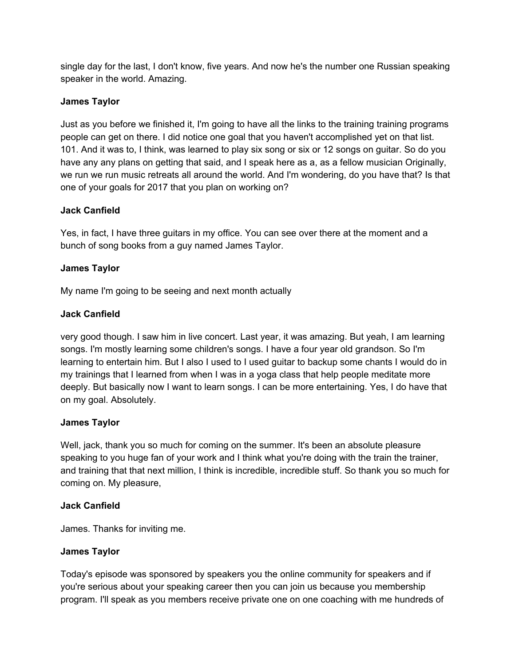single day for the last, I don't know, five years. And now he's the number one Russian speaking speaker in the world. Amazing.

### **James Taylor**

Just as you before we finished it, I'm going to have all the links to the training training programs people can get on there. I did notice one goal that you haven't accomplished yet on that list. 101. And it was to, I think, was learned to play six song or six or 12 songs on guitar. So do you have any any plans on getting that said, and I speak here as a, as a fellow musician Originally, we run we run music retreats all around the world. And I'm wondering, do you have that? Is that one of your goals for 2017 that you plan on working on?

### **Jack Canfield**

Yes, in fact, I have three guitars in my office. You can see over there at the moment and a bunch of song books from a guy named James Taylor.

### **James Taylor**

My name I'm going to be seeing and next month actually

### **Jack Canfield**

very good though. I saw him in live concert. Last year, it was amazing. But yeah, I am learning songs. I'm mostly learning some children's songs. I have a four year old grandson. So I'm learning to entertain him. But I also I used to I used guitar to backup some chants I would do in my trainings that I learned from when I was in a yoga class that help people meditate more deeply. But basically now I want to learn songs. I can be more entertaining. Yes, I do have that on my goal. Absolutely.

#### **James Taylor**

Well, jack, thank you so much for coming on the summer. It's been an absolute pleasure speaking to you huge fan of your work and I think what you're doing with the train the trainer, and training that that next million, I think is incredible, incredible stuff. So thank you so much for coming on. My pleasure,

#### **Jack Canfield**

James. Thanks for inviting me.

## **James Taylor**

Today's episode was sponsored by speakers you the online community for speakers and if you're serious about your speaking career then you can join us because you membership program. I'll speak as you members receive private one on one coaching with me hundreds of